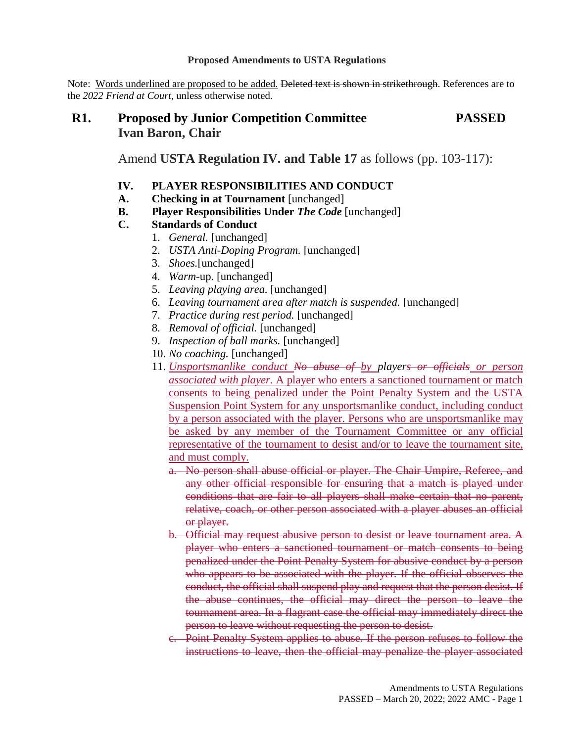#### **Proposed Amendments to USTA Regulations**

Note: Words underlined are proposed to be added. Deleted text is shown in strikethrough. References are to the *2022 Friend at Court,* unless otherwise noted*.*

# **R1. Proposed by Junior Competition Committee PASSED Ivan Baron, Chair**

Amend **USTA Regulation IV. and Table 17** as follows (pp. 103-117):

- **IV. PLAYER RESPONSIBILITIES AND CONDUCT**
- **A. Checking in at Tournament** [unchanged]
- **B. Player Responsibilities Under** *The Code* [unchanged]

## **C. Standards of Conduct**

- 1. *General.* [unchanged]
- 2. *USTA Anti-Doping Program.* [unchanged]
- 3. *Shoes.*[unchanged]
- 4. *Warm-*up. [unchanged]
- 5. *Leaving playing area.* [unchanged]
- 6. *Leaving tournament area after match is suspended.* [unchanged]
- 7. *Practice during rest period.* [unchanged]
- 8. *Removal of official.* [unchanged]
- 9. *Inspection of ball marks.* [unchanged]
- 10. *No coaching.* [unchanged]
- 11. *Unsportsmanlike conduct No abuse of by players or officials or person associated with player.* A player who enters a sanctioned tournament or match consents to being penalized under the Point Penalty System and the USTA Suspension Point System for any unsportsmanlike conduct, including conduct by a person associated with the player. Persons who are unsportsmanlike may be asked by any member of the Tournament Committee or any official representative of the tournament to desist and/or to leave the tournament site, and must comply.
	- a. No person shall abuse official or player. The Chair Umpire, Referee, and any other official responsible for ensuring that a match is played under conditions that are fair to all players shall make certain that no parent, relative, coach, or other person associated with a player abuses an official or player.
	- b. Official may request abusive person to desist or leave tournament area. A player who enters a sanctioned tournament or match consents to being penalized under the Point Penalty System for abusive conduct by a person who appears to be associated with the player. If the official observes the conduct, the official shall suspend play and request that the person desist. If the abuse continues, the official may direct the person to leave the tournament area. In a flagrant case the official may immediately direct the person to leave without requesting the person to desist.
	- c. Point Penalty System applies to abuse. If the person refuses to follow the instructions to leave, then the official may penalize the player associated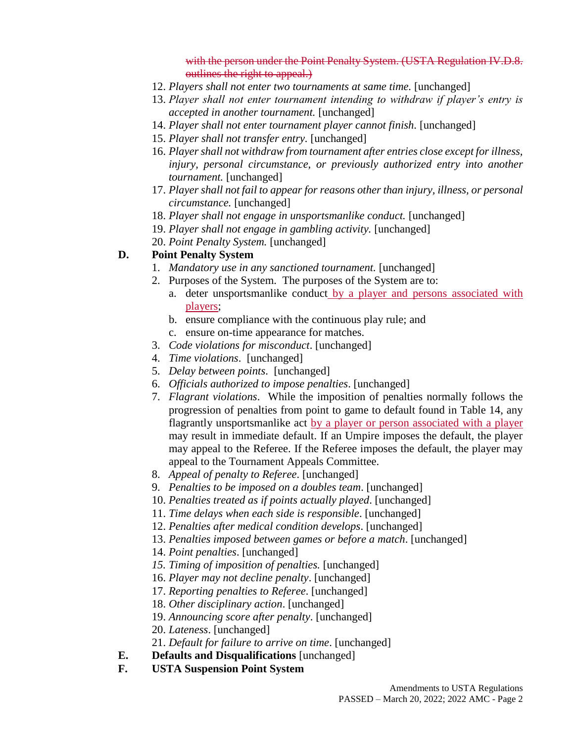with the person under the Point Penalty System. (USTA Regulation IV.D.8. outlines the right to appeal.)

- 12. *Players shall not enter two tournaments at same time.* [unchanged]
- 13. *Player shall not enter tournament intending to withdraw if player's entry is accepted in another tournament.* [unchanged]
- 14. *Player shall not enter tournament player cannot finish.* [unchanged]
- 15. *Player shall not transfer entry.* [unchanged]
- 16. *Player shall not withdraw from tournament after entries close except for illness, injury, personal circumstance, or previously authorized entry into another tournament.* [unchanged]
- 17. *Player shall not fail to appear for reasons other than injury, illness, or personal circumstance.* [unchanged]
- 18. *Player shall not engage in unsportsmanlike conduct.* [unchanged]
- 19. *Player shall not engage in gambling activity.* [unchanged]
- 20. *Point Penalty System.* [unchanged]

## **D. Point Penalty System**

- 1. *Mandatory use in any sanctioned tournament.* [unchanged]
- 2. Purposes of the System. The purposes of the System are to:
	- a. deter unsportsmanlike conduct by a player and persons associated with players;
	- b. ensure compliance with the continuous play rule; and
	- c. ensure on-time appearance for matches.
- 3. *Code violations for misconduct*. [unchanged]
- 4. *Time violations*. [unchanged]
- 5. *Delay between points*. [unchanged]
- 6. *Officials authorized to impose penalties*. [unchanged]
- 7. *Flagrant violations*. While the imposition of penalties normally follows the progression of penalties from point to game to default found in Table 14, any flagrantly unsportsmanlike act by a player or person associated with a player may result in immediate default. If an Umpire imposes the default, the player may appeal to the Referee. If the Referee imposes the default, the player may appeal to the Tournament Appeals Committee.
- 8. *Appeal of penalty to Referee*. [unchanged]
- 9. *Penalties to be imposed on a doubles team*. [unchanged]
- 10. *Penalties treated as if points actually played*. [unchanged]
- 11. *Time delays when each side is responsible*. [unchanged]
- 12. *Penalties after medical condition develops*. [unchanged]
- 13. *Penalties imposed between games or before a match*. [unchanged]
- 14. *Point penalties*. [unchanged]
- *15. Timing of imposition of penalties.* [unchanged]
- 16. *Player may not decline penalty*. [unchanged]
- 17. *Reporting penalties to Referee*. [unchanged]
- 18. *Other disciplinary action*. [unchanged]
- 19. *Announcing score after penalty*. [unchanged]
- 20. *Lateness*. [unchanged]
- 21. *Default for failure to arrive on time*. [unchanged]
- **E. Defaults and Disqualifications** [unchanged]
- **F. USTA Suspension Point System**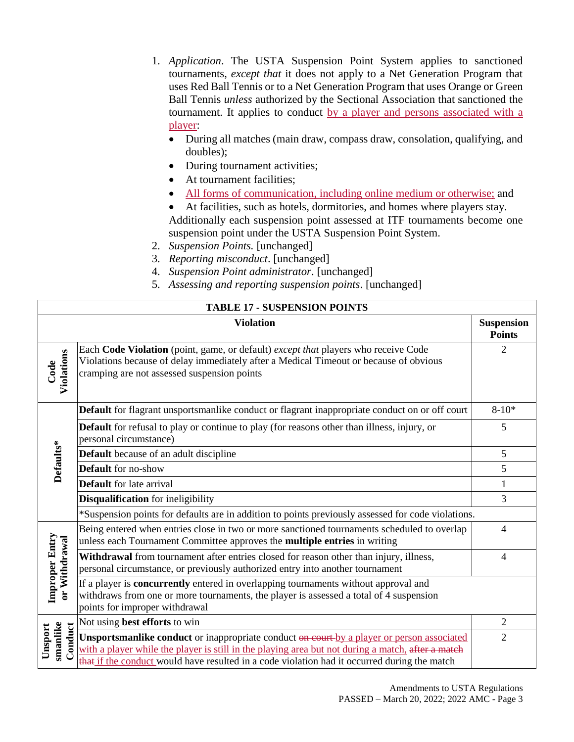- 1. *Application*. The USTA Suspension Point System applies to sanctioned tournaments, *except that* it does not apply to a Net Generation Program that uses Red Ball Tennis or to a Net Generation Program that uses Orange or Green Ball Tennis *unless* authorized by the Sectional Association that sanctioned the tournament. It applies to conduct by a player and persons associated with a player:
	- During all matches (main draw, compass draw, consolation, qualifying, and doubles);
	- During tournament activities;
	- At tournament facilities;
	- All forms of communication, including online medium or otherwise; and
	- At facilities, such as hotels, dormitories, and homes where players stay. Additionally each suspension point assessed at ITF tournaments become one suspension point under the USTA Suspension Point System.
- 2. *Suspension Points.* [unchanged]
- 3. *Reporting misconduct*. [unchanged]
- 4. *Suspension Point administrator*. [unchanged]
- 5. *Assessing and reporting suspension points*. [unchanged]

| <b>TABLE 17 - SUSPENSION POINTS</b>    |                                                                                                                                                                                                                                                                                                 |                                    |  |
|----------------------------------------|-------------------------------------------------------------------------------------------------------------------------------------------------------------------------------------------------------------------------------------------------------------------------------------------------|------------------------------------|--|
|                                        | <b>Violation</b>                                                                                                                                                                                                                                                                                | <b>Suspension</b><br><b>Points</b> |  |
| Violations<br>Code                     | Each Code Violation (point, game, or default) except that players who receive Code<br>Violations because of delay immediately after a Medical Timeout or because of obvious<br>cramping are not assessed suspension points                                                                      | 2                                  |  |
| Defaults*                              | Default for flagrant unsportsmanlike conduct or flagrant inappropriate conduct on or off court                                                                                                                                                                                                  | $8 - 10*$                          |  |
|                                        | <b>Default</b> for refusal to play or continue to play (for reasons other than illness, injury, or<br>personal circumstance)                                                                                                                                                                    | 5                                  |  |
|                                        | Default because of an adult discipline                                                                                                                                                                                                                                                          | 5                                  |  |
|                                        | <b>Default</b> for no-show                                                                                                                                                                                                                                                                      | 5                                  |  |
|                                        | <b>Default</b> for late arrival                                                                                                                                                                                                                                                                 | 1                                  |  |
|                                        | <b>Disqualification</b> for ineligibility                                                                                                                                                                                                                                                       | 3                                  |  |
|                                        | *Suspension points for defaults are in addition to points previously assessed for code violations.                                                                                                                                                                                              |                                    |  |
| <b>Improper Entry</b><br>or Withdrawal | Being entered when entries close in two or more sanctioned tournaments scheduled to overlap<br>unless each Tournament Committee approves the <b>multiple entries</b> in writing                                                                                                                 | $\overline{4}$                     |  |
|                                        | Withdrawal from tournament after entries closed for reason other than injury, illness,<br>personal circumstance, or previously authorized entry into another tournament                                                                                                                         | $\overline{4}$                     |  |
|                                        | If a player is concurrently entered in overlapping tournaments without approval and<br>withdraws from one or more tournaments, the player is assessed a total of 4 suspension<br>points for improper withdrawal                                                                                 |                                    |  |
| smanlike<br>Conduct<br>Unsport         | Not using best efforts to win                                                                                                                                                                                                                                                                   | 2                                  |  |
|                                        | Unsportsmanlike conduct or inappropriate conduct on court by a player or person associated<br>with a player while the player is still in the playing area but not during a match, after a match<br>that if the conduct would have resulted in a code violation had it occurred during the match | $\overline{2}$                     |  |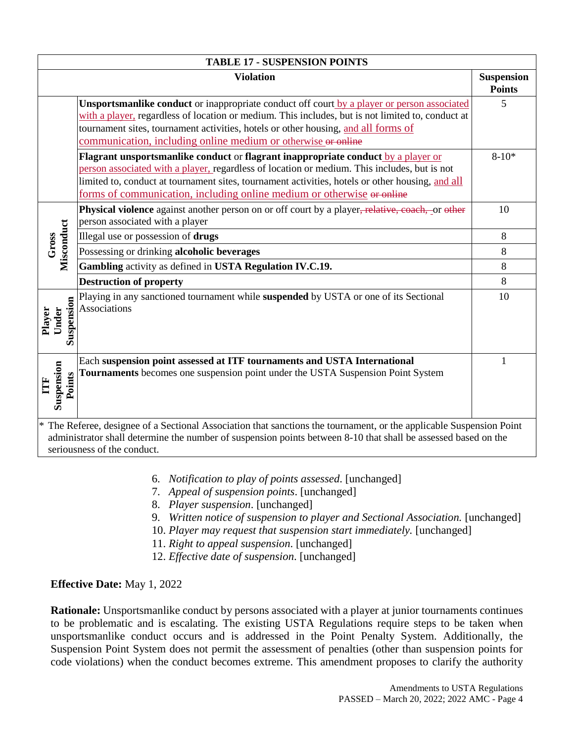| <b>TABLE 17 - SUSPENSION POINTS</b>                                                                                                                                                                                                                                   |                                                                                                                                                                                                                                                                                                                                                                 |                                    |  |
|-----------------------------------------------------------------------------------------------------------------------------------------------------------------------------------------------------------------------------------------------------------------------|-----------------------------------------------------------------------------------------------------------------------------------------------------------------------------------------------------------------------------------------------------------------------------------------------------------------------------------------------------------------|------------------------------------|--|
|                                                                                                                                                                                                                                                                       | <b>Violation</b>                                                                                                                                                                                                                                                                                                                                                | <b>Suspension</b><br><b>Points</b> |  |
|                                                                                                                                                                                                                                                                       | Unsportsmanlike conduct or inappropriate conduct off court by a player or person associated<br>with a player, regardless of location or medium. This includes, but is not limited to, conduct at<br>tournament sites, tournament activities, hotels or other housing, and all forms of<br>communication, including online medium or otherwise or online         | 5                                  |  |
|                                                                                                                                                                                                                                                                       | Flagrant unsportsmanlike conduct or flagrant inappropriate conduct by a player or<br>person associated with a player, regardless of location or medium. This includes, but is not<br>limited to, conduct at tournament sites, tournament activities, hotels or other housing, and all<br>forms of communication, including online medium or otherwise or online | $8 - 10*$                          |  |
| Misconduct<br>Gross                                                                                                                                                                                                                                                   | Physical violence against another person on or off court by a player <del>, relative, coach, or other</del><br>person associated with a player                                                                                                                                                                                                                  | 10                                 |  |
|                                                                                                                                                                                                                                                                       | Illegal use or possession of drugs                                                                                                                                                                                                                                                                                                                              | 8                                  |  |
|                                                                                                                                                                                                                                                                       | Possessing or drinking alcoholic beverages                                                                                                                                                                                                                                                                                                                      | 8                                  |  |
|                                                                                                                                                                                                                                                                       | Gambling activity as defined in USTA Regulation IV.C.19.                                                                                                                                                                                                                                                                                                        | 8                                  |  |
|                                                                                                                                                                                                                                                                       | <b>Destruction of property</b>                                                                                                                                                                                                                                                                                                                                  | 8                                  |  |
| Suspension<br>Under<br>Player                                                                                                                                                                                                                                         | Playing in any sanctioned tournament while suspended by USTA or one of its Sectional<br><b>Associations</b>                                                                                                                                                                                                                                                     | 10                                 |  |
| Suspension<br>Points<br>E                                                                                                                                                                                                                                             | Each suspension point assessed at ITF tournaments and USTA International<br>Tournaments becomes one suspension point under the USTA Suspension Point System                                                                                                                                                                                                     | $\mathbf{1}$                       |  |
| * The Referee, designee of a Sectional Association that sanctions the tournament, or the applicable Suspension Point<br>administrator shall determine the number of suspension points between 8-10 that shall be assessed based on the<br>seriousness of the conduct. |                                                                                                                                                                                                                                                                                                                                                                 |                                    |  |

- 6. *Notification to play of points assessed*. [unchanged]
- 7. *Appeal of suspension points*. [unchanged]
- 8. *Player suspension*. [unchanged]
- 9. *Written notice of suspension to player and Sectional Association.* [unchanged]
- 10. *Player may request that suspension start immediately.* [unchanged]
- 11. *Right to appeal suspension*. [unchanged]
- 12. *Effective date of suspension*. [unchanged]

## **Effective Date:** May 1, 2022

**Rationale:** Unsportsmanlike conduct by persons associated with a player at junior tournaments continues to be problematic and is escalating. The existing USTA Regulations require steps to be taken when unsportsmanlike conduct occurs and is addressed in the Point Penalty System. Additionally, the Suspension Point System does not permit the assessment of penalties (other than suspension points for code violations) when the conduct becomes extreme. This amendment proposes to clarify the authority